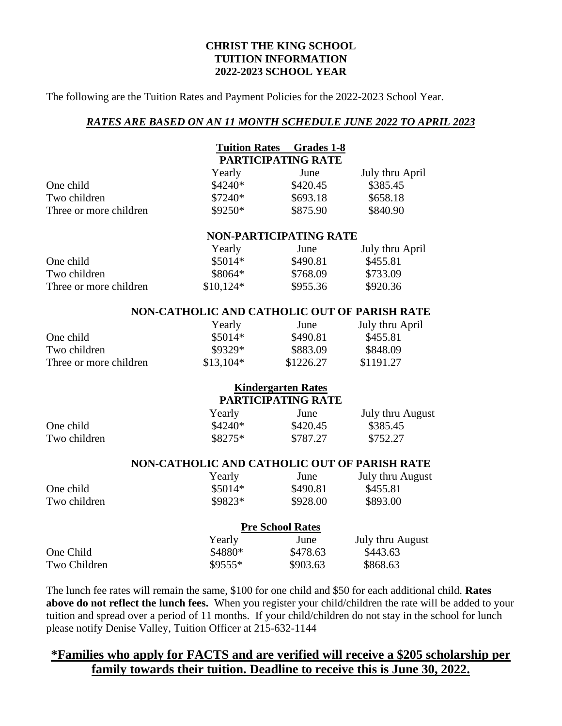#### **CHRIST THE KING SCHOOL TUITION INFORMATION 2022-2023 SCHOOL YEAR**

The following are the Tuition Rates and Payment Policies for the 2022-2023 School Year.

#### *RATES ARE BASED ON AN 11 MONTH SCHEDULE JUNE 2022 TO APRIL 2023*

| <b>PARTICIPATING RATE</b>                    |
|----------------------------------------------|
|                                              |
| June<br>July thru April                      |
| \$420.45<br>\$385.45                         |
| \$658.18<br>\$693.18                         |
| \$875.90<br>\$840.90                         |
| <b>NON-PARTICIPATING RATE</b>                |
| June<br>July thru April                      |
| \$490.81<br>\$455.81                         |
| \$768.09<br>\$733.09                         |
| \$955.36<br>\$920.36                         |
| NON-CATHOLIC AND CATHOLIC OUT OF PARISH RATE |
| July thru April<br>June                      |
| \$490.81<br>\$455.81                         |
| \$848.09<br>\$883.09                         |
| \$1226.27<br>\$1191.27                       |
| <b>Kindergarten Rates</b>                    |
| PARTICIPATING RATE                           |
| July thru August<br>June                     |
| \$385.45<br>\$420.45                         |
| \$787.27<br>\$752.27                         |
| NON-CATHOLIC AND CATHOLIC OUT OF PARISH RATE |
| July thru August<br>June                     |
| \$490.81<br>\$455.81                         |
| \$928.00<br>\$893.00                         |
| <b>Pre School Rates</b>                      |
| July thru August<br>June                     |
| \$443.63<br>\$478.63                         |
| \$903.63<br>\$868.63                         |
|                                              |

The lunch fee rates will remain the same, \$100 for one child and \$50 for each additional child. **Rates above do not reflect the lunch fees.** When you register your child/children the rate will be added to your tuition and spread over a period of 11 months. If your child/children do not stay in the school for lunch please notify Denise Valley, Tuition Officer at 215-632-1144

# **\*Families who apply for FACTS and are verified will receive a \$205 scholarship per family towards their tuition. Deadline to receive this is June 30, 2022.**